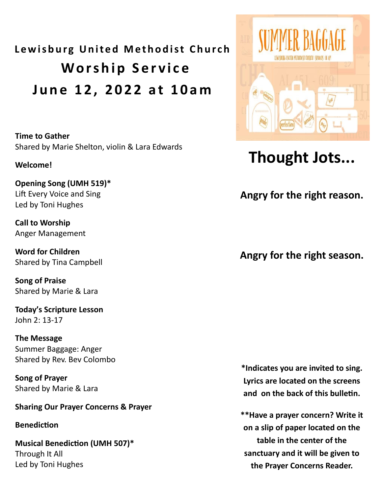# **Lewisburg United Methodist Church Worship Service J u n e 1 2 , 2 0 2 2 a t 1 0 a m**

**Time to Gather**  Shared by Marie Shelton, violin & Lara Edwards

#### **Welcome!**

**Opening Song (UMH 519)\*** Lift Every Voice and Sing Led by Toni Hughes

**Call to Worship** Anger Management

**Word for Children** Shared by Tina Campbell

**Song of Praise** Shared by Marie & Lara

**Today's Scripture Lesson** John 2: 13-17

**The Message** Summer Baggage: Anger Shared by Rev. Bev Colombo

**Song of Prayer** Shared by Marie & Lara

#### **Sharing Our Prayer Concerns & Prayer**

#### **Benediction**

**Musical Benediction (UMH 507)\*** Through It All Led by Toni Hughes



# **Thought Jots...**

**Angry for the right reason.** 

#### **Angry for the right season.**

**\*Indicates you are invited to sing. Lyrics are located on the screens and on the back of this bulletin.** 

**\*\*Have a prayer concern? Write it on a slip of paper located on the table in the center of the sanctuary and it will be given to the Prayer Concerns Reader.**